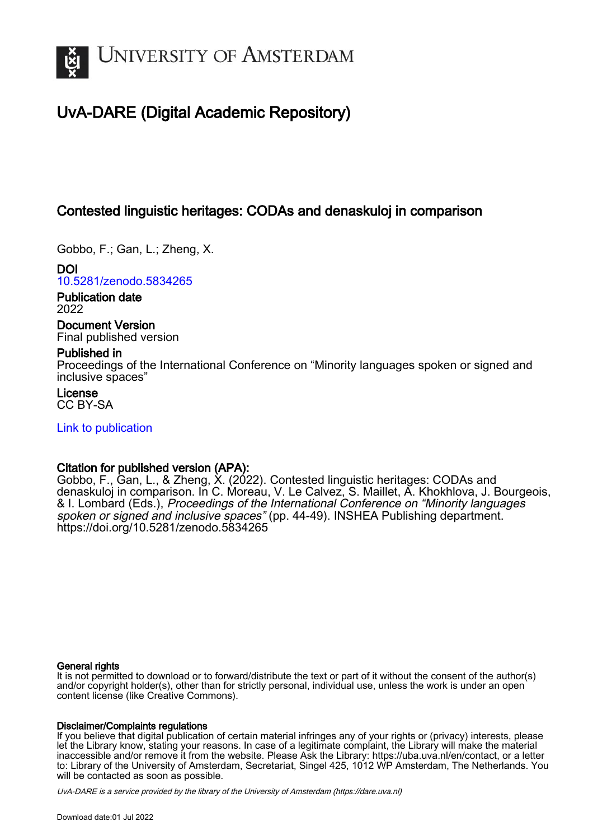

# UvA-DARE (Digital Academic Repository)

## Contested linguistic heritages: CODAs and denaskuloj in comparison

Gobbo, F.; Gan, L.; Zheng, X.

DOI [10.5281/zenodo.5834265](https://doi.org/10.5281/zenodo.5834265)

Publication date 2022

Document Version Final published version

## Published in

Proceedings of the International Conference on "Minority languages spoken or signed and inclusive spaces"

License CC BY-SA

## [Link to publication](https://dare.uva.nl/personal/pure/en/publications/contested-linguistic-heritages-codas-and-denaskuloj-in-comparison(2ead674b-122a-45dc-a074-7f954203f91d).html)

## Citation for published version (APA):

Gobbo, F., Gan, L., & Zheng, X. (2022). Contested linguistic heritages: CODAs and denaskuloj in comparison. In C. Moreau, V. Le Calvez, S. Maillet, A. Khokhlova, J. Bourgeois, & I. Lombard (Eds.), Proceedings of the International Conference on "Minority languages spoken or signed and inclusive spaces" (pp. 44-49). INSHEA Publishing department. <https://doi.org/10.5281/zenodo.5834265>

#### General rights

It is not permitted to download or to forward/distribute the text or part of it without the consent of the author(s) and/or copyright holder(s), other than for strictly personal, individual use, unless the work is under an open content license (like Creative Commons).

#### Disclaimer/Complaints regulations

If you believe that digital publication of certain material infringes any of your rights or (privacy) interests, please let the Library know, stating your reasons. In case of a legitimate complaint, the Library will make the material inaccessible and/or remove it from the website. Please Ask the Library: https://uba.uva.nl/en/contact, or a letter to: Library of the University of Amsterdam, Secretariat, Singel 425, 1012 WP Amsterdam, The Netherlands. You will be contacted as soon as possible.

UvA-DARE is a service provided by the library of the University of Amsterdam (http*s*://dare.uva.nl)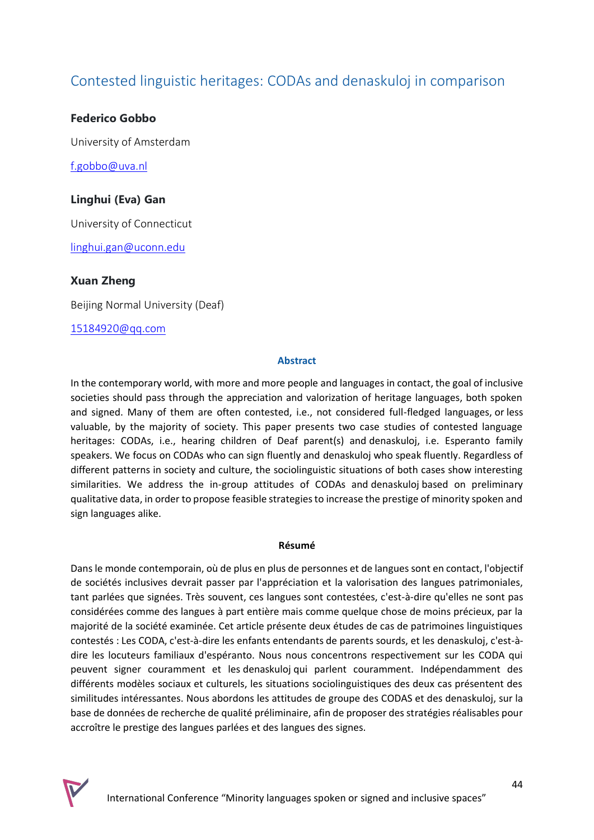## Contested linguistic heritages: CODAs and denaskuloj in comparison

## **Federico Gobbo**

University of Amsterdam

[f.gobbo@uva.nl](mailto:f.gobbo@uva.nl)

## **Linghui (Eva) Gan**

University of Connecticut

[linghui.gan@uconn.edu](mailto:linghui.gan@uconn.edu)

## **Xuan Zheng**

Beijing Normal University (Deaf)

[15184920@qq.com](mailto:15184920@qq.com)

#### **Abstract**

In the contemporary world, with more and more people and languages in contact, the goal of inclusive societies should pass through the appreciation and valorization of heritage languages, both spoken and signed. Many of them are often contested, i.e., not considered full-fledged languages, or less valuable, by the majority of society. This paper presents two case studies of contested language heritages: CODAs, i.e., hearing children of Deaf parent(s) and denaskuloj, i.e. Esperanto family speakers. We focus on CODAs who can sign fluently and denaskuloj who speak fluently. Regardless of different patterns in society and culture, the sociolinguistic situations of both cases show interesting similarities. We address the in-group attitudes of CODAs and denaskuloj based on preliminary qualitative data, in order to propose feasible strategies to increase the prestige of minority spoken and sign languages alike.

#### **Résumé**

Dans le monde contemporain, où de plus en plus de personnes et de langues sont en contact, l'objectif de sociétés inclusives devrait passer par l'appréciation et la valorisation des langues patrimoniales, tant parlées que signées. Très souvent, ces langues sont contestées, c'est-à-dire qu'elles ne sont pas considérées comme des langues à part entière mais comme quelque chose de moins précieux, par la majorité de la société examinée. Cet article présente deux études de cas de patrimoines linguistiques contestés : Les CODA, c'est-à-dire les enfants entendants de parents sourds, et les denaskuloj, c'est-àdire les locuteurs familiaux d'espéranto. Nous nous concentrons respectivement sur les CODA qui peuvent signer couramment et les denaskuloj qui parlent couramment. Indépendamment des différents modèles sociaux et culturels, les situations sociolinguistiques des deux cas présentent des similitudes intéressantes. Nous abordons les attitudes de groupe des CODAS et des denaskuloj, sur la base de données de recherche de qualité préliminaire, afin de proposer des stratégies réalisables pour accroître le prestige des langues parlées et des langues des signes.

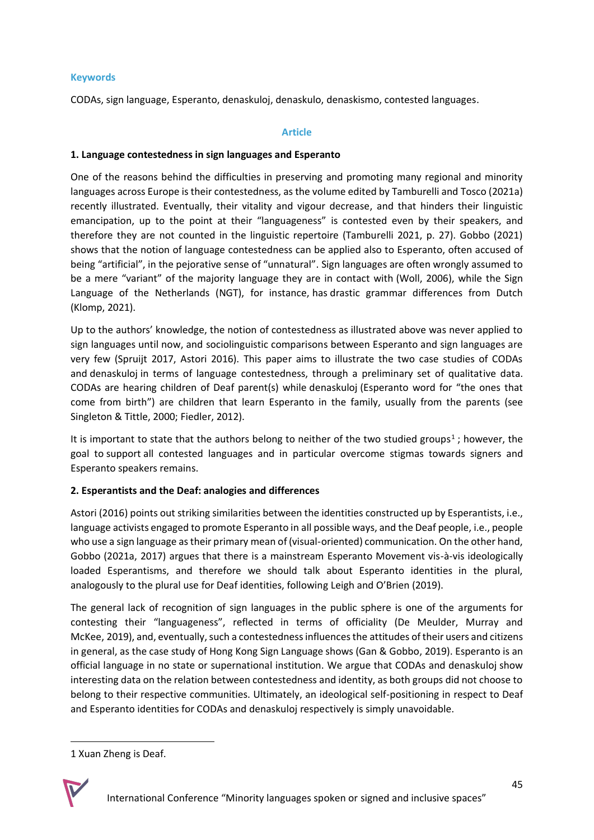#### **[Keywords](https://seminaire.inshea.fr/course/view.php?id=43#section-5)**

CODAs, sign language, Esperanto, denaskuloj, denaskulo, denaskismo, contested languages.

#### **Article**

#### **1. Language contestedness in sign languages and Esperanto**

One of the reasons behind the difficulties in preserving and promoting many regional and minority languages across Europe is their contestedness, as the volume edited by Tamburelli and Tosco (2021a) recently illustrated. Eventually, their vitality and vigour decrease, and that hinders their linguistic emancipation, up to the point at their "languageness" is contested even by their speakers, and therefore they are not counted in the linguistic repertoire (Tamburelli 2021, p. 27). Gobbo (2021) shows that the notion of language contestedness can be applied also to Esperanto, often accused of being "artificial", in the pejorative sense of "unnatural". Sign languages are often wrongly assumed to be a mere "variant" of the majority language they are in contact with (Woll, 2006), while the Sign Language of the Netherlands (NGT), for instance, has drastic grammar differences from Dutch (Klomp, 2021).

Up to the authors' knowledge, the notion of contestedness as illustrated above was never applied to sign languages until now, and sociolinguistic comparisons between Esperanto and sign languages are very few (Spruijt 2017, Astori 2016). This paper aims to illustrate the two case studies of CODAs and denaskuloj in terms of language contestedness, through a preliminary set of qualitative data. CODAs are hearing children of Deaf parent(s) while denaskuloj (Esperanto word for "the ones that come from birth") are children that learn Esperanto in the family, usually from the parents (see Singleton & Tittle, 2000; Fiedler, 2012).

It is important to state that the authors belong to neither of the two studied groups<sup>1</sup>[;](https://seminaire.inshea.fr/course/view.php?id=43#_ftn1) however, the goal to support all contested languages and in particular overcome stigmas towards signers and Esperanto speakers remains.

## **2. Esperantists and the Deaf: analogies and differences**

Astori (2016) points out striking similarities between the identities constructed up by Esperantists, i.e., language activists engaged to promote Esperanto in all possible ways, and the Deaf people, i.e., people who use a sign language as their primary mean of (visual-oriented) communication. On the other hand, Gobbo (2021a, 2017) argues that there is a mainstream Esperanto Movement vis-à-vis ideologically loaded Esperantisms, and therefore we should talk about Esperanto identities in the plural, analogously to the plural use for Deaf identities, following Leigh and O'Brien (2019).

The general lack of recognition of sign languages in the public sphere is one of the arguments for contesting their "languageness", reflected in terms of officiality (De Meulder, Murray and McKee, 2019), and, eventually, such a contestedness influences the attitudes of their users and citizens in general, as the case study of Hong Kong Sign Language shows (Gan & Gobbo, 2019). Esperanto is an official language in no state or supernational institution. We argue that CODAs and denaskuloj show interesting data on the relation between contestedness and identity, as both groups did not choose to belong to their respective communities. Ultimately, an ideological self-positioning in respect to Deaf and Esperanto identities for CODAs and denaskuloj respectively is simply unavoidable.

<sup>1</sup> Xuan Zheng is Deaf.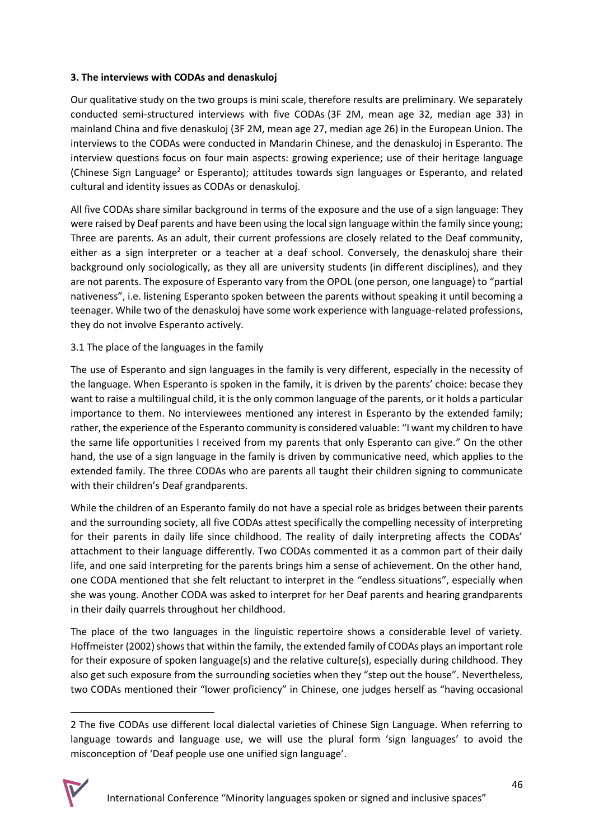## **3. The interviews with CODAs and denaskuloj**

Our qualitative study on the two groups is mini scale, therefore results are preliminary. We separately conducted semi-structured interviews with five CODAs (3F 2M, mean age 32, median age 33) in mainland China and five denaskuloj (3F 2M, mean age 27, median age 26) in the European Union. The interviews to the CODAs were conducted in Mandarin Chinese, and the denaskuloj in Esperanto. The interview questions focus on four main aspects: growing experience; use of their heritage language (Chinese Sign Language<sup>2</sup> or Esperanto); attitudes towards sign languages or Esperanto, and related cultural and identity issues as CODAs or denaskuloj.

All five CODAs share similar background in terms of the exposure and the use of a sign language: They were raised by Deaf parents and have been using the local sign language within the family since young; Three are parents. As an adult, their current professions are closely related to the Deaf community, either as a sign interpreter or a teacher at a deaf school. Conversely, the denaskuloj share their background only sociologically, as they all are university students (in different disciplines), and they are not parents. The exposure of Esperanto vary from the OPOL (one person, one language) to "partial nativeness", i.e. listening Esperanto spoken between the parents without speaking it until becoming a teenager. While two of the denaskuloj have some work experience with language-related professions, they do not involve Esperanto actively.

## 3.1 The place of the languages in the family

The use of Esperanto and sign languages in the family is very different, especially in the necessity of the language. When Esperanto is spoken in the family, it is driven by the parents' choice: becase they want to raise a multilingual child, it is the only common language of the parents, or it holds a particular importance to them. No interviewees mentioned any interest in Esperanto by the extended family; rather, the experience of the Esperanto community is considered valuable: "I want my children to have the same life opportunities I received from my parents that only Esperanto can give." On the other hand, the use of a sign language in the family is driven by communicative need, which applies to the extended family. The three CODAs who are parents all taught their children signing to communicate with their children's Deaf grandparents.

While the children of an Esperanto family do not have a special role as bridges between their parents and the surrounding society, all five CODAs attest specifically the compelling necessity of interpreting for their parents in daily life since childhood. The reality of daily interpreting affects the CODAs' attachment to their language differently. Two CODAs commented it as a common part of their daily life, and one said interpreting for the parents brings him a sense of achievement. On the other hand, one CODA mentioned that she felt reluctant to interpret in the "endless situations", especially when she was young. Another CODA was asked to interpret for her Deaf parents and hearing grandparents in their daily quarrels throughout her childhood.

The place of the two languages in the linguistic repertoire shows a considerable level of variety. Hoffmeister (2002) shows that within the family, the extended family of CODAs plays an important role for their exposure of spoken language(s) and the relative culture(s), especially during childhood. They also get such exposure from the surrounding societies when they "step out the house". Nevertheless, two CODAs mentioned their "lower proficiency" in Chinese, one judges herself as "having occasional

<sup>2</sup> The five CODAs use different local dialectal varieties of Chinese Sign Language. When referring to language towards and language use, we will use the plural form 'sign languages' to avoid the misconception of 'Deaf people use one unified sign language'.

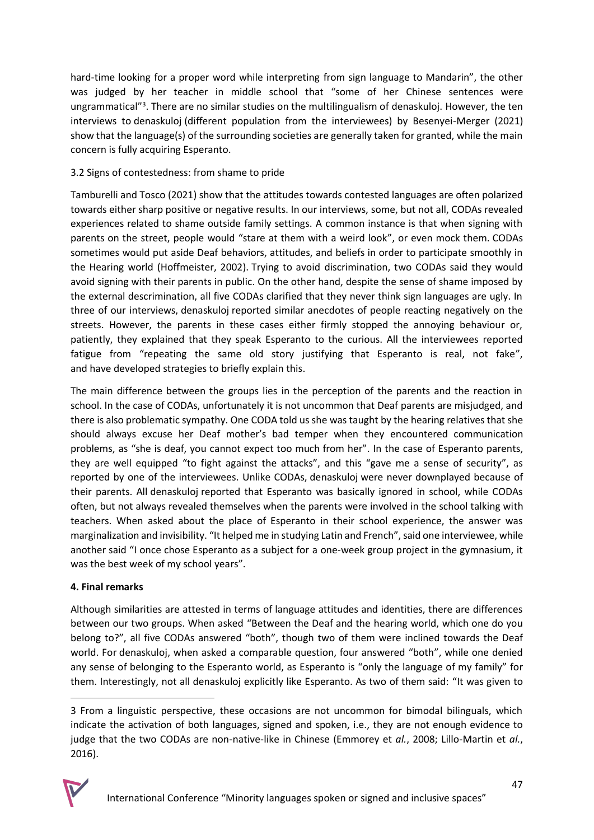hard-time looking for a proper word while interpreting from sign language to Mandarin", the other was judged by her teacher in middle school that "some of her Chinese sentences were ungrammatical"<sup>3</sup>. There are no similar studies on the multilingualism of denaskuloj. However, the ten interviews to denaskuloj (different population from the interviewees) by Besenyei-Merger (2021) show that the language(s) of the surrounding societies are generally taken for granted, while the main concern is fully acquiring Esperanto.

## 3.2 Signs of contestedness: from shame to pride

Tamburelli and Tosco (2021) show that the attitudes towards contested languages are often polarized towards either sharp positive or negative results. In our interviews, some, but not all, CODAs revealed experiences related to shame outside family settings. A common instance is that when signing with parents on the street, people would "stare at them with a weird look", or even mock them. CODAs sometimes would put aside Deaf behaviors, attitudes, and beliefs in order to participate smoothly in the Hearing world (Hoffmeister, 2002). Trying to avoid discrimination, two CODAs said they would avoid signing with their parents in public. On the other hand, despite the sense of shame imposed by the external descrimination, all five CODAs clarified that they never think sign languages are ugly. In three of our interviews, denaskuloj reported similar anecdotes of people reacting negatively on the streets. However, the parents in these cases either firmly stopped the annoying behaviour or, patiently, they explained that they speak Esperanto to the curious. All the interviewees reported fatigue from "repeating the same old story justifying that Esperanto is real, not fake", and have developed strategies to briefly explain this.

The main difference between the groups lies in the perception of the parents and the reaction in school. In the case of CODAs, unfortunately it is not uncommon that Deaf parents are misjudged, and there is also problematic sympathy. One CODA told us she was taught by the hearing relatives that she should always excuse her Deaf mother's bad temper when they encountered communication problems, as "she is deaf, you cannot expect too much from her". In the case of Esperanto parents, they are well equipped "to fight against the attacks", and this "gave me a sense of security", as reported by one of the interviewees. Unlike CODAs, denaskuloj were never downplayed because of their parents. All denaskuloj reported that Esperanto was basically ignored in school, while CODAs often, but not always revealed themselves when the parents were involved in the school talking with teachers. When asked about the place of Esperanto in their school experience, the answer was marginalization and invisibility. "It helped me in studying Latin and French", said one interviewee, while another said "I once chose Esperanto as a subject for a one-week group project in the gymnasium, it was the best week of my school years".

## **4. Final remarks**

Although similarities are attested in terms of language attitudes and identities, there are differences between our two groups. When asked "Between the Deaf and the hearing world, which one do you belong to?", all five CODAs answered "both", though two of them were inclined towards the Deaf world. For denaskuloj, when asked a comparable question, four answered "both", while one denied any sense of belonging to the Esperanto world, as Esperanto is "only the language of my family" for them. Interestingly, not all denaskuloj explicitly like Esperanto. As two of them said: "It was given to

<sup>3</sup> From a linguistic perspective, these occasions are not uncommon for bimodal bilinguals, which indicate the activation of both languages, signed and spoken, i.e., they are not enough evidence to judge that the two CODAs are non-native-like in Chinese (Emmorey et *al.*, 2008; Lillo-Martin et *al.*, 2016).

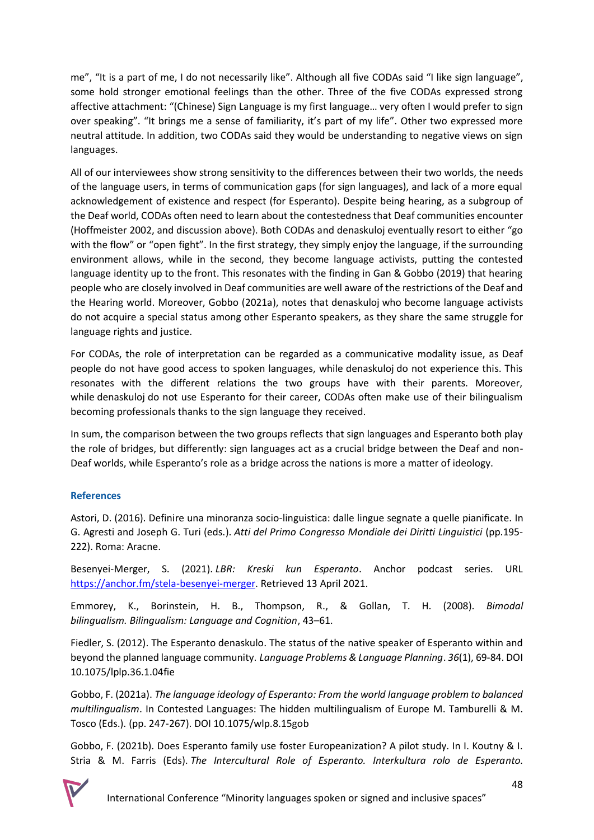me", "It is a part of me, I do not necessarily like". Although all five CODAs said "I like sign language", some hold stronger emotional feelings than the other. Three of the five CODAs expressed strong affective attachment: "(Chinese) Sign Language is my first language… very often I would prefer to sign over speaking". "It brings me a sense of familiarity, it's part of my life". Other two expressed more neutral attitude. In addition, two CODAs said they would be understanding to negative views on sign languages.

All of our interviewees show strong sensitivity to the differences between their two worlds, the needs of the language users, in terms of communication gaps (for sign languages), and lack of a more equal acknowledgement of existence and respect (for Esperanto). Despite being hearing, as a subgroup of the Deaf world, CODAs often need to learn about the contestedness that Deaf communities encounter (Hoffmeister 2002, and discussion above). Both CODAs and denaskuloj eventually resort to either "go with the flow" or "open fight". In the first strategy, they simply enjoy the language, if the surrounding environment allows, while in the second, they become language activists, putting the contested language identity up to the front. This resonates with the finding in Gan & Gobbo (2019) that hearing people who are closely involved in Deaf communities are well aware of the restrictions of the Deaf and the Hearing world. Moreover, Gobbo (2021a), notes that denaskuloj who become language activists do not acquire a special status among other Esperanto speakers, as they share the same struggle for language rights and justice.

For CODAs, the role of interpretation can be regarded as a communicative modality issue, as Deaf people do not have good access to spoken languages, while denaskuloj do not experience this. This resonates with the different relations the two groups have with their parents. Moreover, while denaskuloj do not use Esperanto for their career, CODAs often make use of their bilingualism becoming professionals thanks to the sign language they received.

In sum, the comparison between the two groups reflects that sign languages and Esperanto both play the role of bridges, but differently: sign languages act as a crucial bridge between the Deaf and non-Deaf worlds, while Esperanto's role as a bridge across the nations is more a matter of ideology.

## **References**

Astori, D. (2016). Definire una minoranza socio-linguistica: dalle lingue segnate a quelle pianificate. In G. Agresti and Joseph G. Turi (eds.). *Atti del Primo Congresso Mondiale dei Diritti Linguistici* (pp.195- 222). Roma: Aracne.

Besenyei-Merger, S. (2021). *LBR: Kreski kun Esperanto*. Anchor podcast series. URL [https://anchor.fm/stela-besenyei-merger.](https://anchor.fm/stela-besenyei-merger) Retrieved 13 April 2021.

Emmorey, K., Borinstein, H. B., Thompson, R., & Gollan, T. H. (2008). *Bimodal bilingualism. Bilingualism: Language and Cognition*, 43–61.

Fiedler, S. (2012). The Esperanto denaskulo. The status of the native speaker of Esperanto within and beyond the planned language community. *Language Problems & Language Planning*. *36*(1), 69-84. DOI 10.1075/lplp.36.1.04fie

Gobbo, F. (2021a). *The language ideology of Esperanto: From the world language problem to balanced multilingualism*. In Contested Languages: The hidden multilingualism of Europe M. Tamburelli & M. Tosco (Eds.). (pp. 247-267). DOI 10.1075/wlp.8.15gob

Gobbo, F. (2021b). Does Esperanto family use foster Europeanization? A pilot study. In I. Koutny & I. Stria & M. Farris (Eds). *The Intercultural Role of Esperanto. Interkultura rolo de Esperanto.*